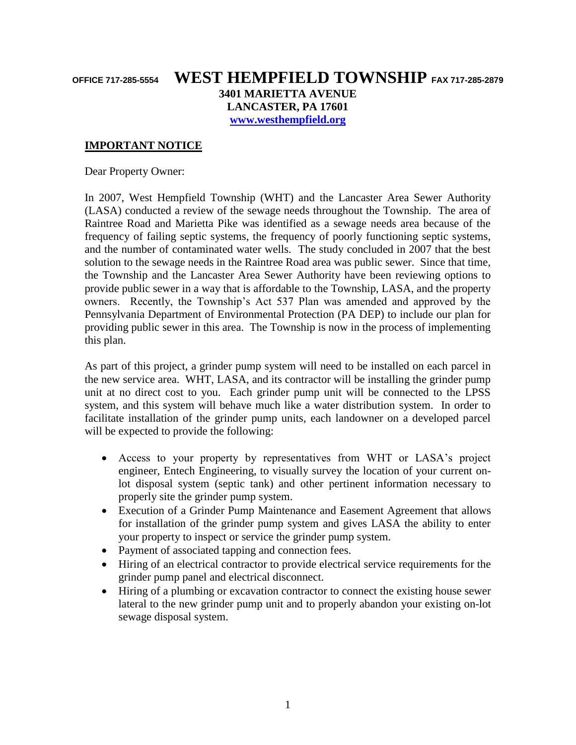## **OFFICE 717-285-5554 WEST HEMPFIELD TOWNSHIP FAX 717-285-2879 3401 MARIETTA AVENUE LANCASTER, PA 17601 [www.westhempfield.org](http://www.westhempfield.org/)**

**IMPORTANT NOTICE**

Dear Property Owner:

In 2007, West Hempfield Township (WHT) and the Lancaster Area Sewer Authority (LASA) conducted a review of the sewage needs throughout the Township. The area of Raintree Road and Marietta Pike was identified as a sewage needs area because of the frequency of failing septic systems, the frequency of poorly functioning septic systems, and the number of contaminated water wells. The study concluded in 2007 that the best solution to the sewage needs in the Raintree Road area was public sewer. Since that time, the Township and the Lancaster Area Sewer Authority have been reviewing options to provide public sewer in a way that is affordable to the Township, LASA, and the property owners. Recently, the Township's Act 537 Plan was amended and approved by the Pennsylvania Department of Environmental Protection (PA DEP) to include our plan for providing public sewer in this area. The Township is now in the process of implementing this plan.

As part of this project, a grinder pump system will need to be installed on each parcel in the new service area. WHT, LASA, and its contractor will be installing the grinder pump unit at no direct cost to you. Each grinder pump unit will be connected to the LPSS system, and this system will behave much like a water distribution system. In order to facilitate installation of the grinder pump units, each landowner on a developed parcel will be expected to provide the following:

- Access to your property by representatives from WHT or LASA's project engineer, Entech Engineering, to visually survey the location of your current onlot disposal system (septic tank) and other pertinent information necessary to properly site the grinder pump system.
- Execution of a Grinder Pump Maintenance and Easement Agreement that allows for installation of the grinder pump system and gives LASA the ability to enter your property to inspect or service the grinder pump system.
- Payment of associated tapping and connection fees.
- Hiring of an electrical contractor to provide electrical service requirements for the grinder pump panel and electrical disconnect.
- Hiring of a plumbing or excavation contractor to connect the existing house sewer lateral to the new grinder pump unit and to properly abandon your existing on-lot sewage disposal system.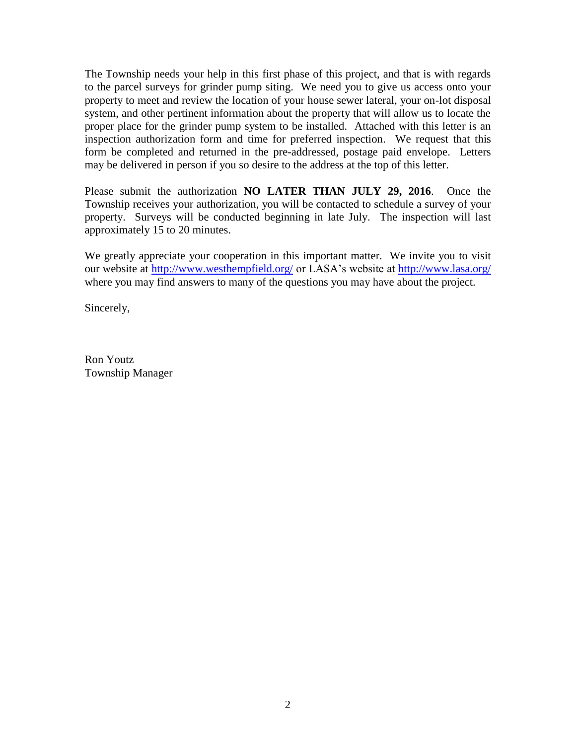The Township needs your help in this first phase of this project, and that is with regards to the parcel surveys for grinder pump siting. We need you to give us access onto your property to meet and review the location of your house sewer lateral, your on-lot disposal system, and other pertinent information about the property that will allow us to locate the proper place for the grinder pump system to be installed. Attached with this letter is an inspection authorization form and time for preferred inspection. We request that this form be completed and returned in the pre-addressed, postage paid envelope. Letters may be delivered in person if you so desire to the address at the top of this letter.

Please submit the authorization **NO LATER THAN JULY 29, 2016**.Once the Township receives your authorization, you will be contacted to schedule a survey of your property. Surveys will be conducted beginning in late July. The inspection will last approximately 15 to 20 minutes.

We greatly appreciate your cooperation in this important matter. We invite you to visit our website at<http://www.westhempfield.org/> or LASA's website at<http://www.lasa.org/> where you may find answers to many of the questions you may have about the project.

Sincerely,

Ron Youtz Township Manager